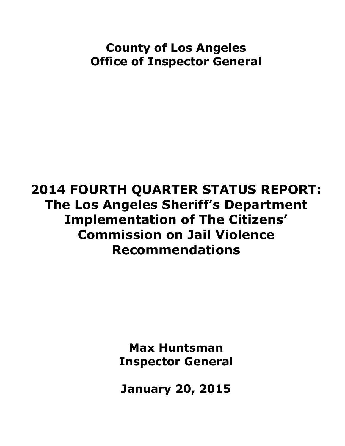# **County of Los Angeles Office of Inspector General**

# **2014 FOURTH QUARTER STATUS REPORT: The Los Angeles Sheriff's Department Implementation of The Citizens' Commission on Jail Violence Recommendations**

**Max Huntsman Inspector General**

**January 20, 2015**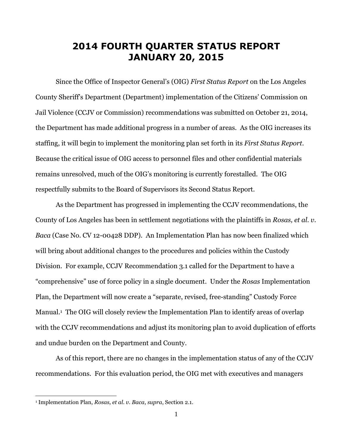### **2014 FOURTH QUARTER STATUS REPORT JANUARY 20, 2015**

Since the Office of Inspector General's (OIG) *First Status Report* on the Los Angeles County Sheriff's Department (Department) implementation of the Citizens' Commission on Jail Violence (CCJV or Commission) recommendations was submitted on October 21, 2014, the Department has made additional progress in a number of areas. As the OIG increases its staffing, it will begin to implement the monitoring plan set forth in its *First Status Report*. Because the critical issue of OIG access to personnel files and other confidential materials remains unresolved, much of the OIG's monitoring is currently forestalled. The OIG respectfully submits to the Board of Supervisors its Second Status Report.

As the Department has progressed in implementing the CCJV recommendations, the County of Los Angeles has been in settlement negotiations with the plaintiffs in *Rosas, et al. v. Baca* (Case No. CV 12-00428 DDP). An Implementation Plan has now been finalized which will bring about additional changes to the procedures and policies within the Custody Division. For example, CCJV Recommendation 3.1 called for the Department to have a "comprehensive" use of force policy in a single document. Under the *Rosas* Implementation Plan, the Department will now create a "separate, revised, free-standing" Custody Force Manual. <sup>1</sup> The OIG will closely review the Implementation Plan to identify areas of overlap with the CCJV recommendations and adjust its monitoring plan to avoid duplication of efforts and undue burden on the Department and County.

As of this report, there are no changes in the implementation status of any of the CCJV recommendations. For this evaluation period, the OIG met with executives and managers

 $\overline{\phantom{a}}$ 

<sup>1</sup> Implementation Plan, *Rosas, et al. v. Baca*, *supra*, Section 2.1.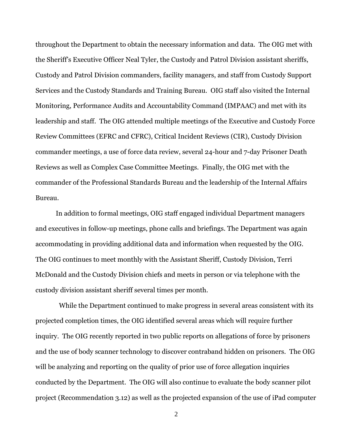throughout the Department to obtain the necessary information and data. The OIG met with the Sheriff's Executive Officer Neal Tyler, the Custody and Patrol Division assistant sheriffs, Custody and Patrol Division commanders, facility managers, and staff from Custody Support Services and the Custody Standards and Training Bureau. OIG staff also visited the Internal Monitoring, Performance Audits and Accountability Command (IMPAAC) and met with its leadership and staff. The OIG attended multiple meetings of the Executive and Custody Force Review Committees (EFRC and CFRC), Critical Incident Reviews (CIR), Custody Division commander meetings, a use of force data review, several 24-hour and 7-day Prisoner Death Reviews as well as Complex Case Committee Meetings. Finally, the OIG met with the commander of the Professional Standards Bureau and the leadership of the Internal Affairs Bureau.

In addition to formal meetings, OIG staff engaged individual Department managers and executives in follow-up meetings, phone calls and briefings. The Department was again accommodating in providing additional data and information when requested by the OIG. The OIG continues to meet monthly with the Assistant Sheriff, Custody Division, Terri McDonald and the Custody Division chiefs and meets in person or via telephone with the custody division assistant sheriff several times per month.

 While the Department continued to make progress in several areas consistent with its projected completion times, the OIG identified several areas which will require further inquiry. The OIG recently reported in two public reports on allegations of force by prisoners and the use of body scanner technology to discover contraband hidden on prisoners. The OIG will be analyzing and reporting on the quality of prior use of force allegation inquiries conducted by the Department. The OIG will also continue to evaluate the body scanner pilot project (Recommendation 3.12) as well as the projected expansion of the use of iPad computer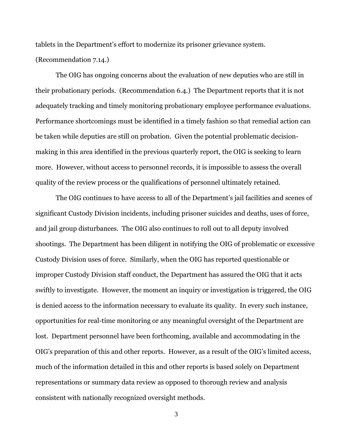tablets in the Department's effort to modernize its prisoner grievance system.

(Recommendation 7.14.)

The OIG has ongoing concerns about the evaluation of new deputies who are still in their probationary periods. (Recommendation 6.4.) The Department reports that it is not adequately tracking and timely monitoring probationary employee performance evaluations. Performance shortcomings must be identified in a timely fashion so that remedial action can be taken while deputies are still on probation. Given the potential problematic decisionmaking in this area identified in the previous quarterly report, the OIG is seeking to learn more. However, without access to personnel records, it is impossible to assess the overall quality of the review process or the qualifications of personnel ultimately retained.

The OIG continues to have access to all of the Department's jail facilities and scenes of significant Custody Division incidents, including prisoner suicides and deaths, uses of force, and jail group disturbances. The OIG also continues to roll out to all deputy involved shootings. The Department has been diligent in notifying the OIG of problematic or excessive Custody Division uses of force. Similarly, when the OIG has reported questionable or improper Custody Division staff conduct, the Department has assured the OIG that it acts swiftly to investigate. However, the moment an inquiry or investigation is triggered, the OIG is denied access to the information necessary to evaluate its quality. In every such instance, opportunities for real-time monitoring or any meaningful oversight of the Department are lost. Department personnel have been forthcoming, available and accommodating in the OIG's preparation of this and other reports. However, as a result of the OIG's limited access, much of the information detailed in this and other reports is based solely on Department representations or summary data review as opposed to thorough review and analysis consistent with nationally recognized oversight methods.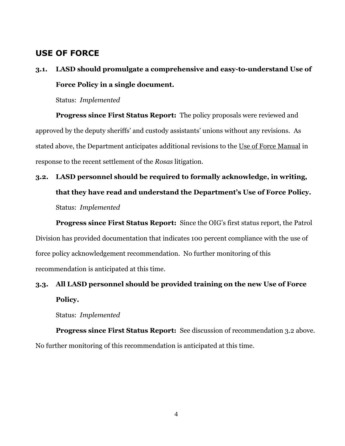### **USE OF FORCE**

### **3.1. LASD should promulgate a comprehensive and easy-to-understand Use of Force Policy in a single document.**

Status: *Implemented*

**Progress since First Status Report:** The policy proposals were reviewed and approved by the deputy sheriffs' and custody assistants' unions without any revisions. As stated above, the Department anticipates additional revisions to the Use of Force Manual in response to the recent settlement of the *Rosas* litigation.

# **3.2. LASD personnel should be required to formally acknowledge, in writing, that they have read and understand the Department's Use of Force Policy.** Status: *Implemented*

**Progress since First Status Report:** Since the OIG's first status report, the Patrol Division has provided documentation that indicates 100 percent compliance with the use of force policy acknowledgement recommendation. No further monitoring of this recommendation is anticipated at this time.

### **3.3. All LASD personnel should be provided training on the new Use of Force Policy.**

Status: *Implemented*

**Progress since First Status Report:** See discussion of recommendation 3.2 above. No further monitoring of this recommendation is anticipated at this time.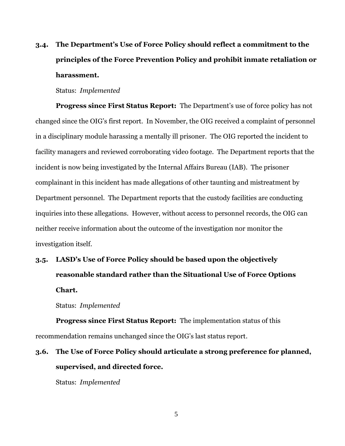### **3.4. The Department's Use of Force Policy should reflect a commitment to the principles of the Force Prevention Policy and prohibit inmate retaliation or harassment.**

#### Status: *Implemented*

**Progress since First Status Report:** The Department's use of force policy has not changed since the OIG's first report. In November, the OIG received a complaint of personnel in a disciplinary module harassing a mentally ill prisoner. The OIG reported the incident to facility managers and reviewed corroborating video footage. The Department reports that the incident is now being investigated by the Internal Affairs Bureau (IAB). The prisoner complainant in this incident has made allegations of other taunting and mistreatment by Department personnel. The Department reports that the custody facilities are conducting inquiries into these allegations. However, without access to personnel records, the OIG can neither receive information about the outcome of the investigation nor monitor the investigation itself.

## **3.5. LASD's Use of Force Policy should be based upon the objectively reasonable standard rather than the Situational Use of Force Options Chart.**

Status: *Implemented*

**Progress since First Status Report:** The implementation status of this recommendation remains unchanged since the OIG's last status report.

### **3.6. The Use of Force Policy should articulate a strong preference for planned, supervised, and directed force.**

Status: *Implemented*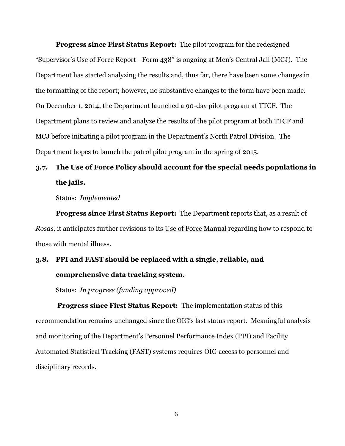**Progress since First Status Report:** The pilot program for the redesigned "Supervisor's Use of Force Report –Form 438" is ongoing at Men's Central Jail (MCJ). The Department has started analyzing the results and, thus far, there have been some changes in the formatting of the report; however, no substantive changes to the form have been made. On December 1, 2014, the Department launched a 90-day pilot program at TTCF. The Department plans to review and analyze the results of the pilot program at both TTCF and MCJ before initiating a pilot program in the Department's North Patrol Division. The Department hopes to launch the patrol pilot program in the spring of 2015.

### **3.7. The Use of Force Policy should account for the special needs populations in the jails.**

Status: *Implemented*

**Progress since First Status Report:** The Department reports that, as a result of *Rosas,* it anticipates further revisions to its Use of Force Manual regarding how to respond to those with mental illness.

### **3.8. PPI and FAST should be replaced with a single, reliable, and comprehensive data tracking system.**

Status: *In progress (funding approved)*

**Progress since First Status Report:** The implementation status of this recommendation remains unchanged since the OIG's last status report. Meaningful analysis and monitoring of the Department's Personnel Performance Index (PPI) and Facility Automated Statistical Tracking (FAST) systems requires OIG access to personnel and disciplinary records.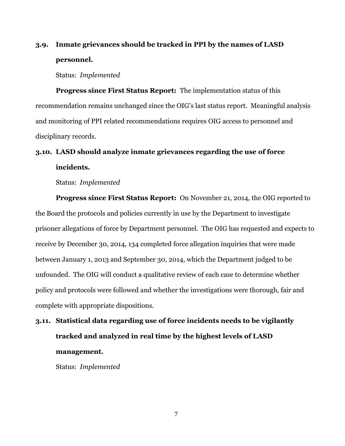### **3.9. Inmate grievances should be tracked in PPI by the names of LASD personnel.**

Status: *Implemented*

**Progress since First Status Report:** The implementation status of this recommendation remains unchanged since the OIG's last status report. Meaningful analysis and monitoring of PPI related recommendations requires OIG access to personnel and disciplinary records.

### **3.10. LASD should analyze inmate grievances regarding the use of force incidents.**

Status: *Implemented*

**Progress since First Status Report:** On November 21, 2014, the OIG reported to the Board the protocols and policies currently in use by the Department to investigate prisoner allegations of force by Department personnel. The OIG has requested and expects to receive by December 30, 2014, 134 completed force allegation inquiries that were made between January 1, 2013 and September 30, 2014, which the Department judged to be unfounded. The OIG will conduct a qualitative review of each case to determine whether policy and protocols were followed and whether the investigations were thorough, fair and complete with appropriate dispositions.

## **3.11. Statistical data regarding use of force incidents needs to be vigilantly tracked and analyzed in real time by the highest levels of LASD management.**

Status: *Implemented*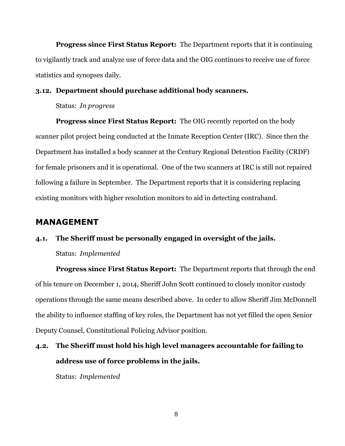**Progress since First Status Report:** The Department reports that it is continuing to vigilantly track and analyze use of force data and the OIG continues to receive use of force statistics and synopses daily.

#### **3.12. Department should purchase additional body scanners.**

Status: *In progress*

**Progress since First Status Report:** The OIG recently reported on the body scanner pilot project being conducted at the Inmate Reception Center (IRC). Since then the Department has installed a body scanner at the Century Regional Detention Facility (CRDF) for female prisoners and it is operational. One of the two scanners at IRC is still not repaired following a failure in September. The Department reports that it is considering replacing existing monitors with higher resolution monitors to aid in detecting contraband.

### **MANAGEMENT**

#### **4.1. The Sheriff must be personally engaged in oversight of the jails.**

#### Status: *Implemented*

**Progress since First Status Report:** The Department reports that through the end of his tenure on December 1, 2014, Sheriff John Scott continued to closely monitor custody operations through the same means described above. In order to allow Sheriff Jim McDonnell the ability to influence staffing of key roles, the Department has not yet filled the open Senior Deputy Counsel, Constitutional Policing Advisor position.

## **4.2. The Sheriff must hold his high level managers accountable for failing to address use of force problems in the jails.**

Status: *Implemented*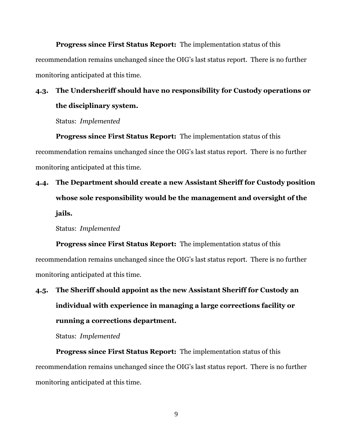**Progress since First Status Report:** The implementation status of this recommendation remains unchanged since the OIG's last status report. There is no further monitoring anticipated at this time.

### **4.3. The Undersheriff should have no responsibility for Custody operations or the disciplinary system.**

Status: *Implemented*

**Progress since First Status Report:** The implementation status of this recommendation remains unchanged since the OIG's last status report. There is no further monitoring anticipated at this time.

## **4.4. The Department should create a new Assistant Sheriff for Custody position whose sole responsibility would be the management and oversight of the jails.**

Status: *Implemented*

**Progress since First Status Report:** The implementation status of this recommendation remains unchanged since the OIG's last status report. There is no further monitoring anticipated at this time.

# **4.5. The Sheriff should appoint as the new Assistant Sheriff for Custody an individual with experience in managing a large corrections facility or running a corrections department.**

Status: *Implemented*

**Progress since First Status Report:** The implementation status of this recommendation remains unchanged since the OIG's last status report. There is no further monitoring anticipated at this time.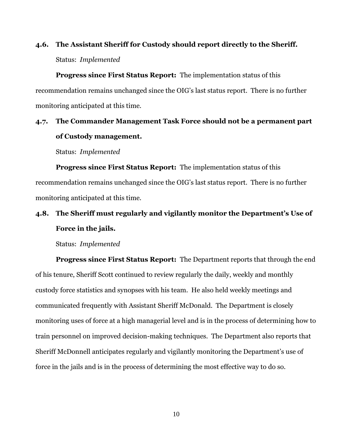### **4.6. The Assistant Sheriff for Custody should report directly to the Sheriff.** Status: *Implemented*

**Progress since First Status Report:** The implementation status of this recommendation remains unchanged since the OIG's last status report. There is no further monitoring anticipated at this time.

### **4.7. The Commander Management Task Force should not be a permanent part of Custody management.**

Status: *Implemented*

**Progress since First Status Report:** The implementation status of this recommendation remains unchanged since the OIG's last status report. There is no further monitoring anticipated at this time.

### **4.8. The Sheriff must regularly and vigilantly monitor the Department's Use of Force in the jails.**

Status: *Implemented*

**Progress since First Status Report:** The Department reports that through the end of his tenure, Sheriff Scott continued to review regularly the daily, weekly and monthly custody force statistics and synopses with his team. He also held weekly meetings and communicated frequently with Assistant Sheriff McDonald. The Department is closely monitoring uses of force at a high managerial level and is in the process of determining how to train personnel on improved decision-making techniques. The Department also reports that Sheriff McDonnell anticipates regularly and vigilantly monitoring the Department's use of force in the jails and is in the process of determining the most effective way to do so.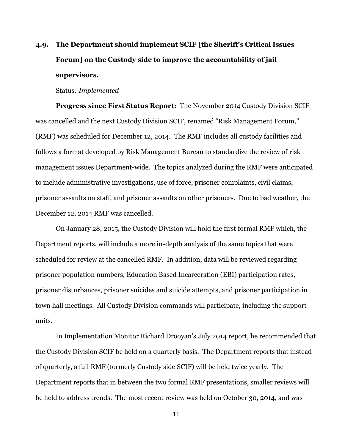### **4.9. The Department should implement SCIF [the Sheriff's Critical Issues Forum] on the Custody side to improve the accountability of jail supervisors.**

#### Status*: Implemented*

**Progress since First Status Report:** The November 2014 Custody Division SCIF was cancelled and the next Custody Division SCIF, renamed "Risk Management Forum," (RMF) was scheduled for December 12, 2014. The RMF includes all custody facilities and follows a format developed by Risk Management Bureau to standardize the review of risk management issues Department-wide. The topics analyzed during the RMF were anticipated to include administrative investigations, use of force, prisoner complaints, civil claims, prisoner assaults on staff, and prisoner assaults on other prisoners. Due to bad weather, the December 12, 2014 RMF was cancelled.

On January 28, 2015, the Custody Division will hold the first formal RMF which, the Department reports, will include a more in-depth analysis of the same topics that were scheduled for review at the cancelled RMF. In addition, data will be reviewed regarding prisoner population numbers, Education Based Incarceration (EBI) participation rates, prisoner disturbances, prisoner suicides and suicide attempts, and prisoner participation in town hall meetings. All Custody Division commands will participate, including the support units.

In Implementation Monitor Richard Drooyan's July 2014 report, he recommended that the Custody Division SCIF be held on a quarterly basis. The Department reports that instead of quarterly, a full RMF (formerly Custody side SCIF) will be held twice yearly. The Department reports that in between the two formal RMF presentations, smaller reviews will be held to address trends. The most recent review was held on October 30, 2014, and was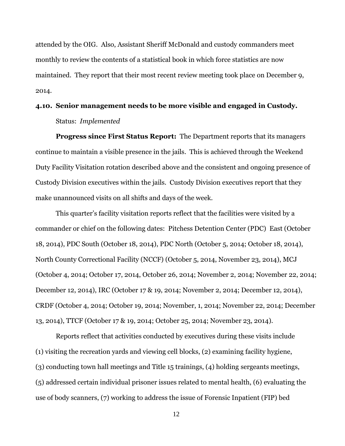attended by the OIG. Also, Assistant Sheriff McDonald and custody commanders meet monthly to review the contents of a statistical book in which force statistics are now maintained. They report that their most recent review meeting took place on December 9, 2014.

### **4.10. Senior management needs to be more visible and engaged in Custody.** Status: *Implemented*

**Progress since First Status Report:** The Department reports that its managers continue to maintain a visible presence in the jails. This is achieved through the Weekend Duty Facility Visitation rotation described above and the consistent and ongoing presence of Custody Division executives within the jails. Custody Division executives report that they make unannounced visits on all shifts and days of the week.

This quarter's facility visitation reports reflect that the facilities were visited by a commander or chief on the following dates: Pitchess Detention Center (PDC) East (October 18, 2014), PDC South (October 18, 2014), PDC North (October 5, 2014; October 18, 2014), North County Correctional Facility (NCCF) (October 5, 2014, November 23, 2014), MCJ (October 4, 2014; October 17, 2014, October 26, 2014; November 2, 2014; November 22, 2014; December 12, 2014), IRC (October 17 & 19, 2014; November 2, 2014; December 12, 2014), CRDF (October 4, 2014; October 19, 2014; November, 1, 2014; November 22, 2014; December 13, 2014), TTCF (October 17 & 19, 2014; October 25, 2014; November 23, 2014).

Reports reflect that activities conducted by executives during these visits include (1) visiting the recreation yards and viewing cell blocks, (2) examining facility hygiene, (3) conducting town hall meetings and Title 15 trainings, (4) holding sergeants meetings, (5) addressed certain individual prisoner issues related to mental health, (6) evaluating the use of body scanners, (7) working to address the issue of Forensic Inpatient (FIP) bed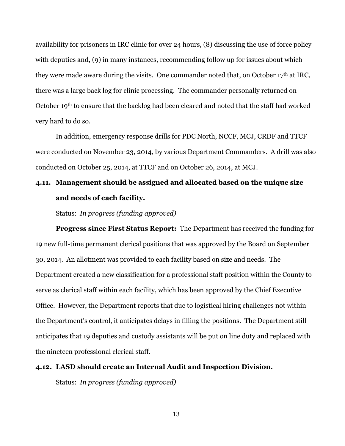availability for prisoners in IRC clinic for over 24 hours, (8) discussing the use of force policy with deputies and, (9) in many instances, recommending follow up for issues about which they were made aware during the visits. One commander noted that, on October  $17<sup>th</sup>$  at IRC, there was a large back log for clinic processing. The commander personally returned on October 19th to ensure that the backlog had been cleared and noted that the staff had worked very hard to do so.

In addition, emergency response drills for PDC North, NCCF, MCJ, CRDF and TTCF were conducted on November 23, 2014, by various Department Commanders. A drill was also conducted on October 25, 2014, at TTCF and on October 26, 2014, at MCJ.

### **4.11. Management should be assigned and allocated based on the unique size and needs of each facility.**

Status: *In progress (funding approved)*

**Progress since First Status Report:** The Department has received the funding for 19 new full-time permanent clerical positions that was approved by the Board on September 30, 2014. An allotment was provided to each facility based on size and needs. The Department created a new classification for a professional staff position within the County to serve as clerical staff within each facility, which has been approved by the Chief Executive Office. However, the Department reports that due to logistical hiring challenges not within the Department's control, it anticipates delays in filling the positions. The Department still anticipates that 19 deputies and custody assistants will be put on line duty and replaced with the nineteen professional clerical staff.

#### **4.12. LASD should create an Internal Audit and Inspection Division.**

Status: *In progress (funding approved)*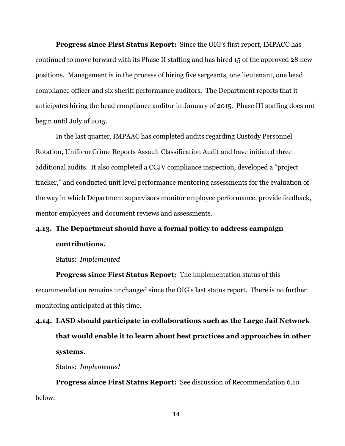**Progress since First Status Report:** Since the OIG's first report, IMPACC has continued to move forward with its Phase II staffing and has hired 15 of the approved 28 new positions. Management is in the process of hiring five sergeants, one lieutenant, one head compliance officer and six sheriff performance auditors. The Department reports that it anticipates hiring the head compliance auditor in January of 2015. Phase III staffing does not begin until July of 2015.

In the last quarter, IMPAAC has completed audits regarding Custody Personnel Rotation, Uniform Crime Reports Assault Classification Audit and have initiated three additional audits. It also completed a CCJV compliance inspection, developed a "project tracker," and conducted unit level performance mentoring assessments for the evaluation of the way in which Department supervisors monitor employee performance, provide feedback, mentor employees and document reviews and assessments.

### **4.13. The Department should have a formal policy to address campaign contributions.**

Status: *Implemented*

**Progress since First Status Report:** The implementation status of this recommendation remains unchanged since the OIG's last status report. There is no further monitoring anticipated at this time.

**4.14. LASD should participate in collaborations such as the Large Jail Network that would enable it to learn about best practices and approaches in other systems.**

Status: *Implemented*

**Progress since First Status Report:** See discussion of Recommendation 6.10 below.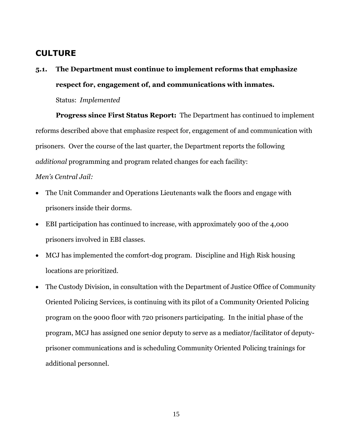### **CULTURE**

**5.1. The Department must continue to implement reforms that emphasize respect for, engagement of, and communications with inmates.**

Status: *Implemented*

**Progress since First Status Report:** The Department has continued to implement reforms described above that emphasize respect for, engagement of and communication with prisoners. Over the course of the last quarter, the Department reports the following *additional* programming and program related changes for each facility:

#### *Men's Central Jail:*

- The Unit Commander and Operations Lieutenants walk the floors and engage with prisoners inside their dorms.
- EBI participation has continued to increase, with approximately 900 of the 4,000 prisoners involved in EBI classes.
- MCJ has implemented the comfort-dog program. Discipline and High Risk housing locations are prioritized.
- The Custody Division, in consultation with the Department of Justice Office of Community Oriented Policing Services, is continuing with its pilot of a Community Oriented Policing program on the 9000 floor with 720 prisoners participating. In the initial phase of the program, MCJ has assigned one senior deputy to serve as a mediator/facilitator of deputyprisoner communications and is scheduling Community Oriented Policing trainings for additional personnel.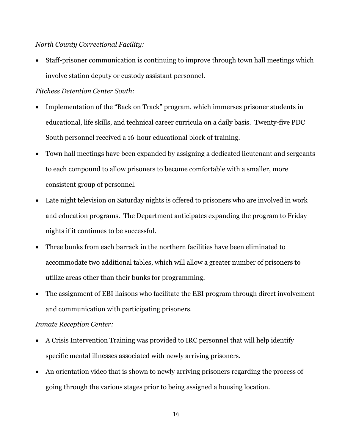#### *North County Correctional Facility:*

 Staff-prisoner communication is continuing to improve through town hall meetings which involve station deputy or custody assistant personnel.

#### *Pitchess Detention Center South:*

- Implementation of the "Back on Track" program, which immerses prisoner students in educational, life skills, and technical career curricula on a daily basis. Twenty-five PDC South personnel received a 16-hour educational block of training.
- Town hall meetings have been expanded by assigning a dedicated lieutenant and sergeants to each compound to allow prisoners to become comfortable with a smaller, more consistent group of personnel.
- Late night television on Saturday nights is offered to prisoners who are involved in work and education programs. The Department anticipates expanding the program to Friday nights if it continues to be successful.
- Three bunks from each barrack in the northern facilities have been eliminated to accommodate two additional tables, which will allow a greater number of prisoners to utilize areas other than their bunks for programming.
- The assignment of EBI liaisons who facilitate the EBI program through direct involvement and communication with participating prisoners.

#### *Inmate Reception Center:*

- A Crisis Intervention Training was provided to IRC personnel that will help identify specific mental illnesses associated with newly arriving prisoners.
- An orientation video that is shown to newly arriving prisoners regarding the process of going through the various stages prior to being assigned a housing location.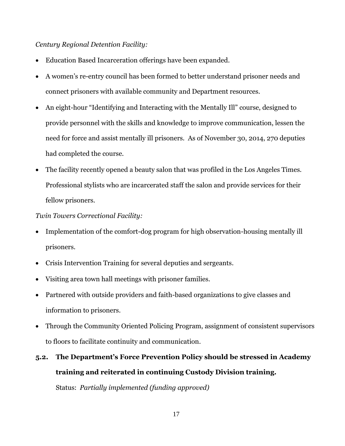#### *Century Regional Detention Facility:*

- Education Based Incarceration offerings have been expanded.
- A women's re-entry council has been formed to better understand prisoner needs and connect prisoners with available community and Department resources.
- An eight-hour "Identifying and Interacting with the Mentally Ill" course, designed to provide personnel with the skills and knowledge to improve communication, lessen the need for force and assist mentally ill prisoners. As of November 30, 2014, 270 deputies had completed the course.
- The facility recently opened a beauty salon that was profiled in the Los Angeles Times. Professional stylists who are incarcerated staff the salon and provide services for their fellow prisoners.

#### *Twin Towers Correctional Facility:*

- Implementation of the comfort-dog program for high observation-housing mentally ill prisoners.
- Crisis Intervention Training for several deputies and sergeants.
- Visiting area town hall meetings with prisoner families.
- Partnered with outside providers and faith-based organizations to give classes and information to prisoners.
- Through the Community Oriented Policing Program, assignment of consistent supervisors to floors to facilitate continuity and communication.

# **5.2. The Department's Force Prevention Policy should be stressed in Academy training and reiterated in continuing Custody Division training.**

Status: *Partially implemented (funding approved)*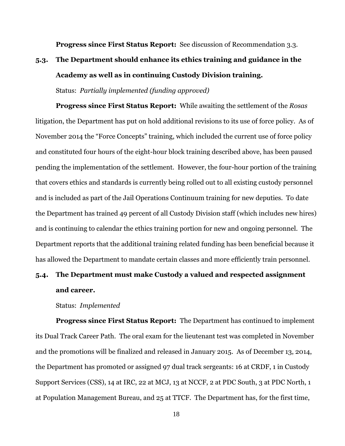**Progress since First Status Report:** See discussion of Recommendation 3.3.

### **5.3. The Department should enhance its ethics training and guidance in the Academy as well as in continuing Custody Division training.**

Status: *Partially implemented (funding approved)*

**Progress since First Status Report:** While awaiting the settlement of the *Rosas* litigation, the Department has put on hold additional revisions to its use of force policy. As of November 2014 the "Force Concepts" training, which included the current use of force policy and constituted four hours of the eight-hour block training described above, has been paused pending the implementation of the settlement. However, the four-hour portion of the training that covers ethics and standards is currently being rolled out to all existing custody personnel and is included as part of the Jail Operations Continuum training for new deputies. To date the Department has trained 49 percent of all Custody Division staff (which includes new hires) and is continuing to calendar the ethics training portion for new and ongoing personnel. The Department reports that the additional training related funding has been beneficial because it has allowed the Department to mandate certain classes and more efficiently train personnel.

### **5.4. The Department must make Custody a valued and respected assignment and career.**

Status: *Implemented*

**Progress since First Status Report:** The Department has continued to implement its Dual Track Career Path. The oral exam for the lieutenant test was completed in November and the promotions will be finalized and released in January 2015. As of December 13, 2014, the Department has promoted or assigned 97 dual track sergeants: 16 at CRDF, 1 in Custody Support Services (CSS), 14 at IRC, 22 at MCJ, 13 at NCCF, 2 at PDC South, 3 at PDC North, 1 at Population Management Bureau, and 25 at TTCF. The Department has, for the first time,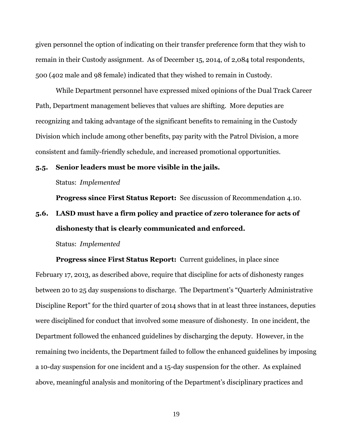given personnel the option of indicating on their transfer preference form that they wish to remain in their Custody assignment. As of December 15, 2014, of 2,084 total respondents, 500 (402 male and 98 female) indicated that they wished to remain in Custody.

While Department personnel have expressed mixed opinions of the Dual Track Career Path, Department management believes that values are shifting. More deputies are recognizing and taking advantage of the significant benefits to remaining in the Custody Division which include among other benefits, pay parity with the Patrol Division, a more consistent and family-friendly schedule, and increased promotional opportunities.

#### **5.5. Senior leaders must be more visible in the jails.**

Status: *Implemented*

**Progress since First Status Report:** See discussion of Recommendation 4.10.

### **5.6. LASD must have a firm policy and practice of zero tolerance for acts of dishonesty that is clearly communicated and enforced.**

Status: *Implemented*

**Progress since First Status Report:** Current guidelines, in place since February 17, 2013, as described above, require that discipline for acts of dishonesty ranges between 20 to 25 day suspensions to discharge. The Department's "Quarterly Administrative Discipline Report" for the third quarter of 2014 shows that in at least three instances, deputies were disciplined for conduct that involved some measure of dishonesty. In one incident, the Department followed the enhanced guidelines by discharging the deputy. However, in the remaining two incidents, the Department failed to follow the enhanced guidelines by imposing a 10-day suspension for one incident and a 15-day suspension for the other. As explained above, meaningful analysis and monitoring of the Department's disciplinary practices and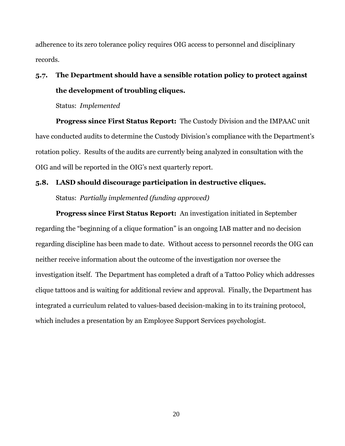adherence to its zero tolerance policy requires OIG access to personnel and disciplinary records.

### **5.7. The Department should have a sensible rotation policy to protect against the development of troubling cliques.**

Status: *Implemented*

**Progress since First Status Report:** The Custody Division and the IMPAAC unit have conducted audits to determine the Custody Division's compliance with the Department's rotation policy. Results of the audits are currently being analyzed in consultation with the OIG and will be reported in the OIG's next quarterly report.

#### **5.8. LASD should discourage participation in destructive cliques.**

Status: *Partially implemented (funding approved)*

**Progress since First Status Report:** An investigation initiated in September regarding the "beginning of a clique formation" is an ongoing IAB matter and no decision regarding discipline has been made to date. Without access to personnel records the OIG can neither receive information about the outcome of the investigation nor oversee the investigation itself. The Department has completed a draft of a Tattoo Policy which addresses clique tattoos and is waiting for additional review and approval. Finally, the Department has integrated a curriculum related to values-based decision-making in to its training protocol, which includes a presentation by an Employee Support Services psychologist.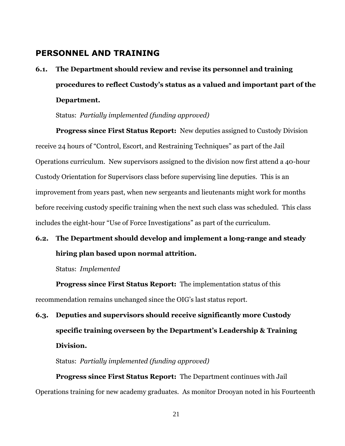### **PERSONNEL AND TRAINING**

**6.1. The Department should review and revise its personnel and training procedures to reflect Custody's status as a valued and important part of the Department.**

Status: *Partially implemented (funding approved)*

**Progress since First Status Report:** New deputies assigned to Custody Division receive 24 hours of "Control, Escort, and Restraining Techniques" as part of the Jail Operations curriculum. New supervisors assigned to the division now first attend a 40-hour Custody Orientation for Supervisors class before supervising line deputies. This is an improvement from years past, when new sergeants and lieutenants might work for months before receiving custody specific training when the next such class was scheduled. This class includes the eight-hour "Use of Force Investigations" as part of the curriculum.

### **6.2. The Department should develop and implement a long-range and steady hiring plan based upon normal attrition.**

Status: *Implemented*

**Progress since First Status Report:** The implementation status of this recommendation remains unchanged since the OIG's last status report.

# **6.3. Deputies and supervisors should receive significantly more Custody specific training overseen by the Department's Leadership & Training Division.**

Status: *Partially implemented (funding approved)*

**Progress since First Status Report:** The Department continues with Jail Operations training for new academy graduates. As monitor Drooyan noted in his Fourteenth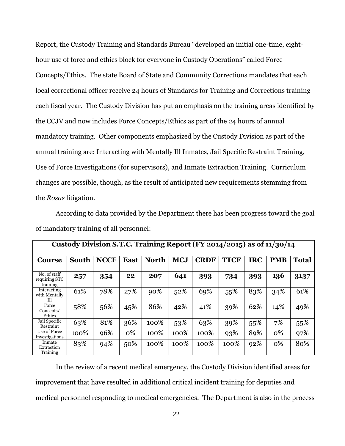Report, the Custody Training and Standards Bureau "developed an initial one-time, eighthour use of force and ethics block for everyone in Custody Operations" called Force Concepts/Ethics. The state Board of State and Community Corrections mandates that each local correctional officer receive 24 hours of Standards for Training and Corrections training each fiscal year. The Custody Division has put an emphasis on the training areas identified by the CCJV and now includes Force Concepts/Ethics as part of the 24 hours of annual mandatory training. Other components emphasized by the Custody Division as part of the annual training are: Interacting with Mentally Ill Inmates, Jail Specific Restraint Training, Use of Force Investigations (for supervisors), and Inmate Extraction Training. Curriculum changes are possible, though, as the result of anticipated new requirements stemming from the *Rosas* litigation.

According to data provided by the Department there has been progress toward the goal of mandatory training of all personnel:

| Custody Division S.T.C. Training Report (FY 2014/2015) as of 11/30/14 |              |             |             |              |            |             |             |            |            |       |  |
|-----------------------------------------------------------------------|--------------|-------------|-------------|--------------|------------|-------------|-------------|------------|------------|-------|--|
| <b>Course</b>                                                         | <b>South</b> | <b>NCCF</b> | <b>East</b> | <b>North</b> | <b>MCJ</b> | <b>CRDF</b> | <b>TTCF</b> | <b>IRC</b> | <b>PMB</b> | Total |  |
| No. of staff<br>requiring STC<br>training                             | 257          | 354         | 22          | 207          | 641        | 393         | 734         | 393        | 136        | 3137  |  |
| Interacting<br>with Mentally<br>Ш                                     | 61%          | 78%         | 27%         | 90%          | 52%        | 69%         | 55%         | 83%        | 34%        | 61%   |  |
| Force<br>Concepts/<br>Ethics                                          | 58%          | 56%         | 45%         | 86%          | 42%        | 41%         | 39%         | 62%        | 14%        | 49%   |  |
| Jail Specific<br>Restraint                                            | 63%          | 81%         | 36%         | 100%         | 53%        | 63%         | 39%         | 55%        | 7%         | 55%   |  |
| Use of Force<br>Investigations                                        | 100%         | 96%         | 0%          | 100%         | 100%       | 100%        | 93%         | 89%        | 0%         | 97%   |  |
| Inmate<br>Extraction<br>Training                                      | 83%          | 94%         | 50%         | 100%         | 100%       | 100%        | 100%        | 92%        | 0%         | 80%   |  |

In the review of a recent medical emergency, the Custody Division identified areas for improvement that have resulted in additional critical incident training for deputies and medical personnel responding to medical emergencies. The Department is also in the process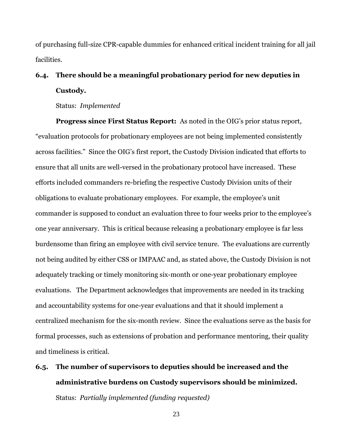of purchasing full-size CPR-capable dummies for enhanced critical incident training for all jail facilities.

### **6.4. There should be a meaningful probationary period for new deputies in Custody.**

Status: *Implemented*

**Progress since First Status Report:** As noted in the OIG's prior status report, "evaluation protocols for probationary employees are not being implemented consistently across facilities." Since the OIG's first report, the Custody Division indicated that efforts to ensure that all units are well-versed in the probationary protocol have increased. These efforts included commanders re-briefing the respective Custody Division units of their obligations to evaluate probationary employees. For example, the employee's unit commander is supposed to conduct an evaluation three to four weeks prior to the employee's one year anniversary. This is critical because releasing a probationary employee is far less burdensome than firing an employee with civil service tenure. The evaluations are currently not being audited by either CSS or IMPAAC and, as stated above, the Custody Division is not adequately tracking or timely monitoring six-month or one-year probationary employee evaluations. The Department acknowledges that improvements are needed in its tracking and accountability systems for one-year evaluations and that it should implement a centralized mechanism for the six-month review. Since the evaluations serve as the basis for formal processes, such as extensions of probation and performance mentoring, their quality and timeliness is critical.

# **6.5. The number of supervisors to deputies should be increased and the administrative burdens on Custody supervisors should be minimized.** Status: *Partially implemented (funding requested)*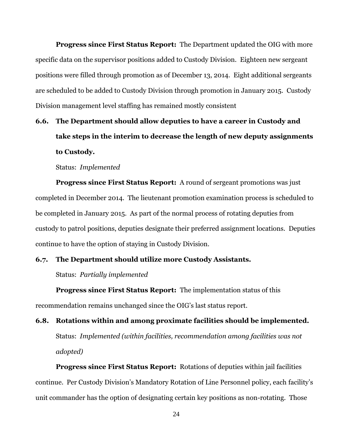**Progress since First Status Report:** The Department updated the OIG with more specific data on the supervisor positions added to Custody Division. Eighteen new sergeant positions were filled through promotion as of December 13, 2014. Eight additional sergeants are scheduled to be added to Custody Division through promotion in January 2015. Custody Division management level staffing has remained mostly consistent

### **6.6. The Department should allow deputies to have a career in Custody and take steps in the interim to decrease the length of new deputy assignments to Custody.**

Status: *Implemented* 

**Progress since First Status Report:** A round of sergeant promotions was just completed in December 2014. The lieutenant promotion examination process is scheduled to be completed in January 2015. As part of the normal process of rotating deputies from custody to patrol positions, deputies designate their preferred assignment locations. Deputies continue to have the option of staying in Custody Division.

#### **6.7. The Department should utilize more Custody Assistants.**

Status: *Partially implemented*

**Progress since First Status Report:** The implementation status of this recommendation remains unchanged since the OIG's last status report.

**6.8. Rotations within and among proximate facilities should be implemented.** Status: *Implemented (within facilities, recommendation among facilities was not adopted)*

**Progress since First Status Report:** Rotations of deputies within jail facilities continue. Per Custody Division's Mandatory Rotation of Line Personnel policy, each facility's unit commander has the option of designating certain key positions as non-rotating. Those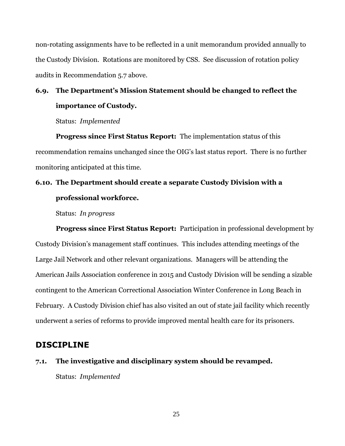non-rotating assignments have to be reflected in a unit memorandum provided annually to the Custody Division. Rotations are monitored by CSS. See discussion of rotation policy audits in Recommendation 5.7 above.

### **6.9. The Department's Mission Statement should be changed to reflect the importance of Custody.**

Status: *Implemented* 

**Progress since First Status Report:** The implementation status of this recommendation remains unchanged since the OIG's last status report. There is no further monitoring anticipated at this time.

### **6.10. The Department should create a separate Custody Division with a professional workforce.**

Status: *In progress*

**Progress since First Status Report:** Participation in professional development by Custody Division's management staff continues. This includes attending meetings of the Large Jail Network and other relevant organizations. Managers will be attending the American Jails Association conference in 2015 and Custody Division will be sending a sizable contingent to the American Correctional Association Winter Conference in Long Beach in February. A Custody Division chief has also visited an out of state jail facility which recently underwent a series of reforms to provide improved mental health care for its prisoners.

### **DISCIPLINE**

**7.1. The investigative and disciplinary system should be revamped.** Status: *Implemented*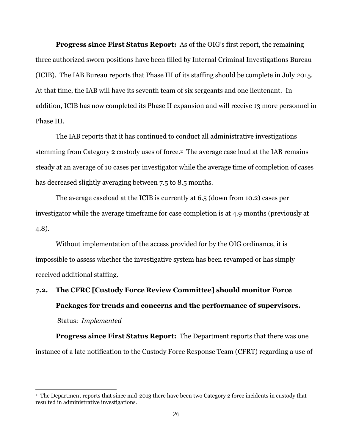**Progress since First Status Report:** As of the OIG's first report, the remaining three authorized sworn positions have been filled by Internal Criminal Investigations Bureau (ICIB). The IAB Bureau reports that Phase III of its staffing should be complete in July 2015. At that time, the IAB will have its seventh team of six sergeants and one lieutenant. In addition, ICIB has now completed its Phase II expansion and will receive 13 more personnel in Phase III.

The IAB reports that it has continued to conduct all administrative investigations stemming from Category 2 custody uses of force.<sup>2</sup> The average case load at the IAB remains steady at an average of 10 cases per investigator while the average time of completion of cases has decreased slightly averaging between 7.5 to 8.5 months.

The average caseload at the ICIB is currently at 6.5 (down from 10.2) cases per investigator while the average timeframe for case completion is at 4.9 months (previously at 4.8).

Without implementation of the access provided for by the OIG ordinance, it is impossible to assess whether the investigative system has been revamped or has simply received additional staffing.

# **7.2. The CFRC [Custody Force Review Committee] should monitor Force Packages for trends and concerns and the performance of supervisors.** Status: *Implemented*

**Progress since First Status Report:** The Department reports that there was one instance of a late notification to the Custody Force Response Team (CFRT) regarding a use of

 $\overline{\phantom{a}}$ 

<sup>&</sup>lt;sup>2</sup> The Department reports that since mid-2013 there have been two Category 2 force incidents in custody that resulted in administrative investigations.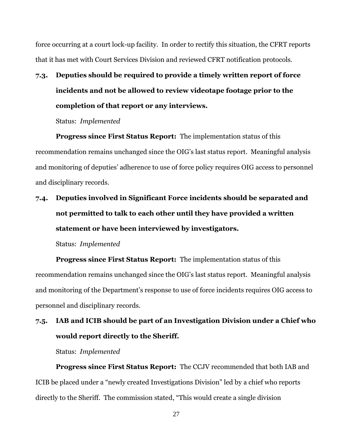force occurring at a court lock-up facility. In order to rectify this situation, the CFRT reports that it has met with Court Services Division and reviewed CFRT notification protocols.

**7.3. Deputies should be required to provide a timely written report of force incidents and not be allowed to review videotape footage prior to the completion of that report or any interviews.**

Status:*Implemented*

**Progress since First Status Report:** The implementation status of this recommendation remains unchanged since the OIG's last status report. Meaningful analysis and monitoring of deputies' adherence to use of force policy requires OIG access to personnel and disciplinary records.

### **7.4. Deputies involved in Significant Force incidents should be separated and not permitted to talk to each other until they have provided a written statement or have been interviewed by investigators.**

Status: *Implemented*

**Progress since First Status Report:** The implementation status of this recommendation remains unchanged since the OIG's last status report. Meaningful analysis and monitoring of the Department's response to use of force incidents requires OIG access to personnel and disciplinary records.

### **7.5. IAB and ICIB should be part of an Investigation Division under a Chief who would report directly to the Sheriff.**

Status: *Implemented*

**Progress since First Status Report:** The CCJV recommended that both IAB and ICIB be placed under a "newly created Investigations Division" led by a chief who reports directly to the Sheriff. The commission stated, "This would create a single division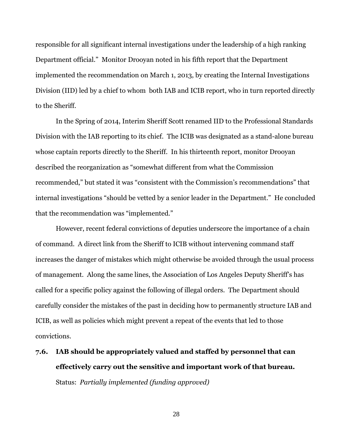responsible for all significant internal investigations under the leadership of a high ranking Department official." Monitor Drooyan noted in his fifth report that the Department implemented the recommendation on March 1, 2013, by creating the Internal Investigations Division (IID) led by a chief to whom both IAB and ICIB report, who in turn reported directly to the Sheriff.

In the Spring of 2014, Interim Sheriff Scott renamed IID to the Professional Standards Division with the IAB reporting to its chief. The ICIB was designated as a stand-alone bureau whose captain reports directly to the Sheriff. In his thirteenth report, monitor Drooyan described the reorganization as "somewhat different from what the Commission recommended," but stated it was "consistent with the Commission's recommendations" that internal investigations "should be vetted by a senior leader in the Department." He concluded that the recommendation was "implemented."

However, recent federal convictions of deputies underscore the importance of a chain of command. A direct link from the Sheriff to ICIB without intervening command staff increases the danger of mistakes which might otherwise be avoided through the usual process of management. Along the same lines, the Association of Los Angeles Deputy Sheriff's has called for a specific policy against the following of illegal orders. The Department should carefully consider the mistakes of the past in deciding how to permanently structure IAB and ICIB, as well as policies which might prevent a repeat of the events that led to those convictions.

**7.6. IAB should be appropriately valued and staffed by personnel that can effectively carry out the sensitive and important work of that bureau.** Status: *Partially implemented (funding approved)*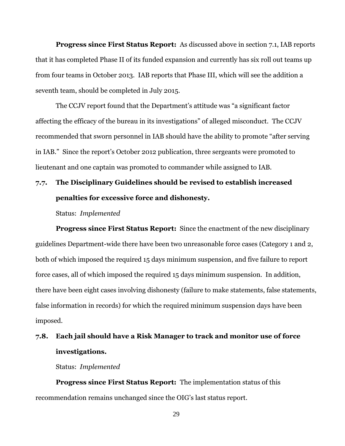**Progress since First Status Report:** As discussed above in section 7.1, IAB reports that it has completed Phase II of its funded expansion and currently has six roll out teams up from four teams in October 2013. IAB reports that Phase III, which will see the addition a seventh team, should be completed in July 2015.

The CCJV report found that the Department's attitude was "a significant factor affecting the efficacy of the bureau in its investigations" of alleged misconduct. The CCJV recommended that sworn personnel in IAB should have the ability to promote "after serving in IAB." Since the report's October 2012 publication, three sergeants were promoted to lieutenant and one captain was promoted to commander while assigned to IAB.

### **7.7. The Disciplinary Guidelines should be revised to establish increased penalties for excessive force and dishonesty.**

Status:*Implemented*

**Progress since First Status Report:** Since the enactment of the new disciplinary guidelines Department-wide there have been two unreasonable force cases (Category 1 and 2, both of which imposed the required 15 days minimum suspension, and five failure to report force cases, all of which imposed the required 15 days minimum suspension. In addition, there have been eight cases involving dishonesty (failure to make statements, false statements, false information in records) for which the required minimum suspension days have been imposed.

### **7.8. Each jail should have a Risk Manager to track and monitor use of force investigations.**

Status: *Implemented*

**Progress since First Status Report:** The implementation status of this recommendation remains unchanged since the OIG's last status report.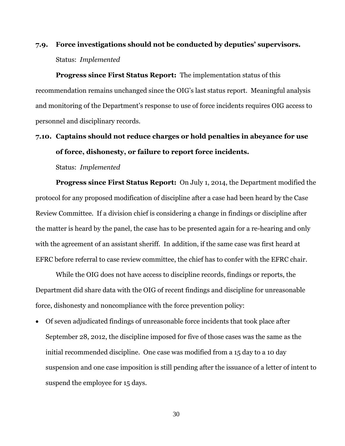### **7.9. Force investigations should not be conducted by deputies' supervisors.**  Status: *Implemented*

**Progress since First Status Report:** The implementation status of this recommendation remains unchanged since the OIG's last status report. Meaningful analysis and monitoring of the Department's response to use of force incidents requires OIG access to personnel and disciplinary records.

### **7.10. Captains should not reduce charges or hold penalties in abeyance for use of force, dishonesty, or failure to report force incidents.**

Status:*Implemented*

**Progress since First Status Report:** On July 1, 2014, the Department modified the protocol for any proposed modification of discipline after a case had been heard by the Case Review Committee. If a division chief is considering a change in findings or discipline after the matter is heard by the panel, the case has to be presented again for a re-hearing and only with the agreement of an assistant sheriff. In addition, if the same case was first heard at EFRC before referral to case review committee, the chief has to confer with the EFRC chair.

While the OIG does not have access to discipline records, findings or reports, the Department did share data with the OIG of recent findings and discipline for unreasonable force, dishonesty and noncompliance with the force prevention policy:

 Of seven adjudicated findings of unreasonable force incidents that took place after September 28, 2012, the discipline imposed for five of those cases was the same as the initial recommended discipline. One case was modified from a 15 day to a 10 day suspension and one case imposition is still pending after the issuance of a letter of intent to suspend the employee for 15 days.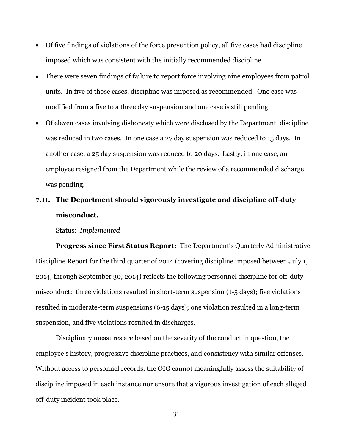- Of five findings of violations of the force prevention policy, all five cases had discipline imposed which was consistent with the initially recommended discipline.
- There were seven findings of failure to report force involving nine employees from patrol units. In five of those cases, discipline was imposed as recommended. One case was modified from a five to a three day suspension and one case is still pending.
- Of eleven cases involving dishonesty which were disclosed by the Department, discipline was reduced in two cases. In one case a 27 day suspension was reduced to 15 days. In another case, a 25 day suspension was reduced to 20 days. Lastly, in one case, an employee resigned from the Department while the review of a recommended discharge was pending.

### **7.11. The Department should vigorously investigate and discipline off-duty misconduct.**

Status: *Implemented*

**Progress since First Status Report:** The Department's Quarterly Administrative Discipline Report for the third quarter of 2014 (covering discipline imposed between July 1, 2014, through September 30, 2014) reflects the following personnel discipline for off-duty misconduct: three violations resulted in short-term suspension (1-5 days); five violations resulted in moderate-term suspensions (6-15 days); one violation resulted in a long-term suspension, and five violations resulted in discharges.

Disciplinary measures are based on the severity of the conduct in question, the employee's history, progressive discipline practices, and consistency with similar offenses. Without access to personnel records, the OIG cannot meaningfully assess the suitability of discipline imposed in each instance nor ensure that a vigorous investigation of each alleged off-duty incident took place.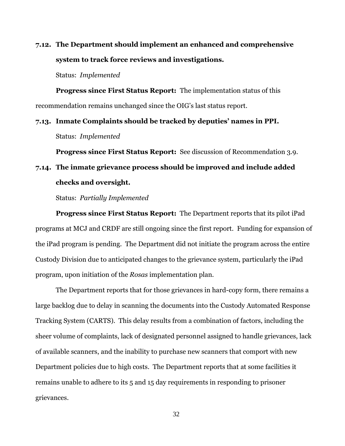### **7.12. The Department should implement an enhanced and comprehensive system to track force reviews and investigations.**

Status: *Implemented*

**Progress since First Status Report:** The implementation status of this recommendation remains unchanged since the OIG's last status report.

**7.13. Inmate Complaints should be tracked by deputies' names in PPI.** Status: *Implemented*

**Progress since First Status Report:** See discussion of Recommendation 3.9.

### **7.14. The inmate grievance process should be improved and include added checks and oversight.**

Status: *Partially Implemented*

**Progress since First Status Report:** The Department reports that its pilot iPad programs at MCJ and CRDF are still ongoing since the first report. Funding for expansion of the iPad program is pending. The Department did not initiate the program across the entire Custody Division due to anticipated changes to the grievance system, particularly the iPad program, upon initiation of the *Rosas* implementation plan.

The Department reports that for those grievances in hard-copy form, there remains a large backlog due to delay in scanning the documents into the Custody Automated Response Tracking System (CARTS). This delay results from a combination of factors, including the sheer volume of complaints, lack of designated personnel assigned to handle grievances, lack of available scanners, and the inability to purchase new scanners that comport with new Department policies due to high costs. The Department reports that at some facilities it remains unable to adhere to its 5 and 15 day requirements in responding to prisoner grievances.